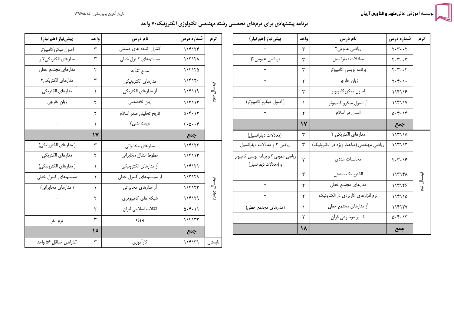سه اَموزش عالی**علوم و فناورس آریان** 

تاریخ اَخرین بروزرسانی: ۱۳۹۶/۵/۱۵

برنامه پیشنهادی برای ترمهای تحصیلی رشته مهندسی تکنولوژی الکترونیک۲۰ واحد

| پیش نیاز (هم نیاز)                                             | واحد     | نام درس                                | شماره درس                      | ترم        |
|----------------------------------------------------------------|----------|----------------------------------------|--------------------------------|------------|
|                                                                | ٣        | ریاضی عمومی۲                           | $Y - Y - Y$                    |            |
| (ریاضی عمومی۲)                                                 | ٣        | معادلات ديفرانسيل                      | $Y - Y - Y$                    |            |
|                                                                | ٣        | برنامه نويسى كامپيوتر                  | $Y - Y - Y$                    |            |
|                                                                | ٢        | زبان خارجى                             | $Y \cdot Y \cdot \cdot$        |            |
|                                                                | ٣        | اصول میکروکامپیوتر                     | 118118                         |            |
| ( اصول میکرو کامپیوتر)                                         | 1        | آز اصول میکرو کامپیوتر                 | 11811Y                         |            |
|                                                                | ٢        | انسان در اسلام                         | $\Delta$ . $\gamma$ . $\gamma$ |            |
|                                                                | $\gamma$ |                                        | جمع                            |            |
| (معادلات ديفرانسيل)                                            | ٣        | مدارهای الکتریکی ۲                     | ۱۱۳۱۱۵                         |            |
| ریاضی ٢ و معادلات دیفرانسیل                                    | ٣        | رياضي مهندسي (مباحث ويژه در الكترونيك) | ١١٣١١٣                         |            |
| ریاضی عمومی ۲ و برنامه نویسی کامپیوتر<br>و (معادلات ديفرانسيل) | ٢        | محاسبات عددى                           | $Y - Y - 19$                   |            |
|                                                                | ٣        | الكترونيك صنعتى                        | 11717A                         |            |
|                                                                | ٢        | مدارهاى مجتمع خطى                      | 114178                         | ييمسال دوم |
|                                                                | ٢        | نرم افزارهای کاربردی در الکترونیک      | ۱۱۴۱۱۵                         |            |
| (مدارهای مجتمع خطی)                                            | ١        | أز مدارهاى مجتمع خطى                   | 11817V                         |            |
|                                                                | ٢        | تفسير موضوعي قرأن                      | $\Delta$ . ۴. ۱۳               |            |
|                                                                | 18       |                                        | جمع                            |            |

| پیش نیاز (هم نیاز)    | واحد     | نام درس                | شماره درس                                      | ترم          |
|-----------------------|----------|------------------------|------------------------------------------------|--------------|
| اصول ميكروكامپيوتر    | ٣        | كنترل كننده هاى صنعتى  | 114174                                         |              |
| مدارهای الکتریکی۲ و   | ٣        | سیستمهای کنترل خطی     | ۱۱۳۱۲۸                                         |              |
| مدارهاى مجتمع خطى     | ٢        | منابع تغذيه            | 114170                                         |              |
| مدارهای الکتریکی۲     | ٣        | مدارهاى الكترونيكي     | ۱۱۴۱۲۰                                         |              |
| مدارهاي الكتريكي      | ١        | آز مدارهای الکتریکی    | ۱۱۴۱۱۹                                         | يمسال سوم    |
| زبان خارجي            | ٢        | زبان تخصصي             | ۱۱۳۱۱۲                                         |              |
|                       | ٢        | تاریخ تحلیلی صدر اسلام | $0.4 - 17$                                     |              |
|                       | ١        | تربیت بدنی۲            | $\mathbf{r} \cdot \mathbf{r} \cdot \mathbf{r}$ |              |
|                       | $\gamma$ |                        | جمع                                            |              |
| (مدارهای الکترونیکی)  | ٣        | مدارهای مخابراتی       | 114177                                         |              |
| مدارهاى الكتريكي      | ٢        | خطوط انتقال مخابراتي   | ۱۱۴۱۱۳                                         |              |
| (مدارهای الکترونیکی)  | ١        | أز مدارهاى الكترونيكي  | ۱۱۴۱۲۱                                         |              |
| سیستمهای کنترل خطی    | ١        | أز سيستمهاى كنترل خطى  | ۱۱۳۱۲۹                                         |              |
| ( مدارهای مخابراتی)   | ١        | أز مدارهاي مخابراتي    | ١١۴١٢٣                                         | يبمسال چهارم |
|                       | ٢        | شبکه های کامپیوتری     | ۱۱۴۱۲۹                                         |              |
|                       | ۲        | انقلاب اسلامي ايران    | 0.5.11                                         |              |
| ترم أخر               | ٣        | پروژه                  | ۱۱۴۱۳۲                                         |              |
|                       | ه ۱      |                        | جمع                                            |              |
| گذراندن حداقل ۵۶ واحد | ٣        | كارأموزي               | ۱۱۴۱۳۱                                         | تابستان      |